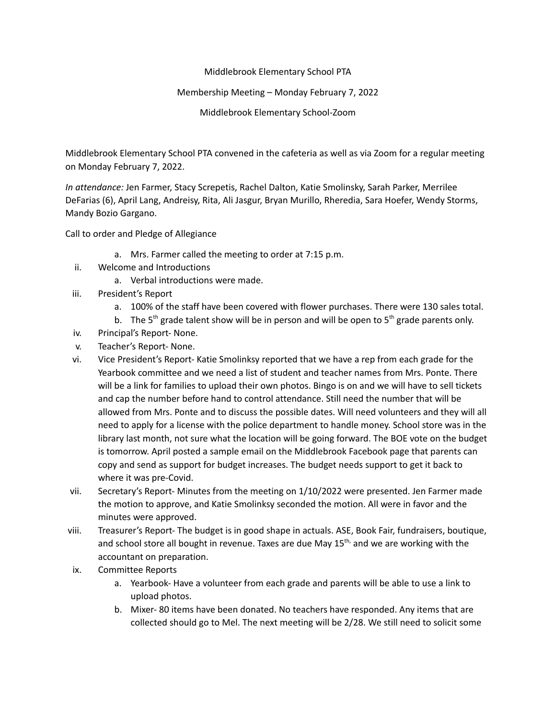Middlebrook Elementary School PTA

## Membership Meeting – Monday February 7, 2022

Middlebrook Elementary School-Zoom

Middlebrook Elementary School PTA convened in the cafeteria as well as via Zoom for a regular meeting on Monday February 7, 2022.

*In attendance:* Jen Farmer, Stacy Screpetis, Rachel Dalton, Katie Smolinsky, Sarah Parker, Merrilee DeFarias (6), April Lang, Andreisy, Rita, Ali Jasgur, Bryan Murillo, Rheredia, Sara Hoefer, Wendy Storms, Mandy Bozio Gargano.

Call to order and Pledge of Allegiance

- a. Mrs. Farmer called the meeting to order at 7:15 p.m.
- ii. Welcome and Introductions
	- a. Verbal introductions were made.
- iii. President's Report
	- a. 100% of the staff have been covered with flower purchases. There were 130 sales total.
	- b. The 5<sup>th</sup> grade talent show will be in person and will be open to 5<sup>th</sup> grade parents only.
- iv. Principal's Report- None.
- v. Teacher's Report- None.
- vi. Vice President's Report- Katie Smolinksy reported that we have a rep from each grade for the Yearbook committee and we need a list of student and teacher names from Mrs. Ponte. There will be a link for families to upload their own photos. Bingo is on and we will have to sell tickets and cap the number before hand to control attendance. Still need the number that will be allowed from Mrs. Ponte and to discuss the possible dates. Will need volunteers and they will all need to apply for a license with the police department to handle money. School store was in the library last month, not sure what the location will be going forward. The BOE vote on the budget is tomorrow. April posted a sample email on the Middlebrook Facebook page that parents can copy and send as support for budget increases. The budget needs support to get it back to where it was pre-Covid.
- vii. Secretary's Report- Minutes from the meeting on 1/10/2022 were presented. Jen Farmer made the motion to approve, and Katie Smolinksy seconded the motion. All were in favor and the minutes were approved.
- viii. Treasurer's Report- The budget is in good shape in actuals. ASE, Book Fair, fundraisers, boutique, and school store all bought in revenue. Taxes are due May  $15<sup>th</sup>$  and we are working with the accountant on preparation.
- ix. Committee Reports
	- a. Yearbook- Have a volunteer from each grade and parents will be able to use a link to upload photos.
	- b. Mixer- 80 items have been donated. No teachers have responded. Any items that are collected should go to Mel. The next meeting will be 2/28. We still need to solicit some